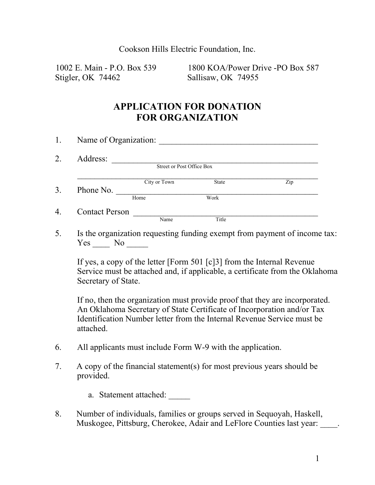Cookson Hills Electric Foundation, Inc.

Stigler, OK 74462 Sallisaw, OK 74955

1002 E. Main - P.O. Box 539 1800 KOA/Power Drive -PO Box 587

## **APPLICATION FOR DONATION FOR ORGANIZATION**

|           | Name of Organization:            |              |     |
|-----------|----------------------------------|--------------|-----|
| Address:  |                                  |              |     |
|           | <b>Street or Post Office Box</b> |              |     |
|           | City or Town                     | <b>State</b> | Zip |
| Phone No. | Home                             | Work         |     |

5. Is the organization requesting funding exempt from payment of income tax: Yes No

If yes, a copy of the letter [Form 501 [c]3] from the Internal Revenue Service must be attached and, if applicable, a certificate from the Oklahoma Secretary of State.

If no, then the organization must provide proof that they are incorporated. An Oklahoma Secretary of State Certificate of Incorporation and/or Tax Identification Number letter from the Internal Revenue Service must be attached.

- 6. All applicants must include Form W-9 with the application.
- 7. A copy of the financial statement(s) for most previous years should be provided.

a. Statement attached:

8. Number of individuals, families or groups served in Sequoyah, Haskell, Muskogee, Pittsburg, Cherokee, Adair and LeFlore Counties last year: .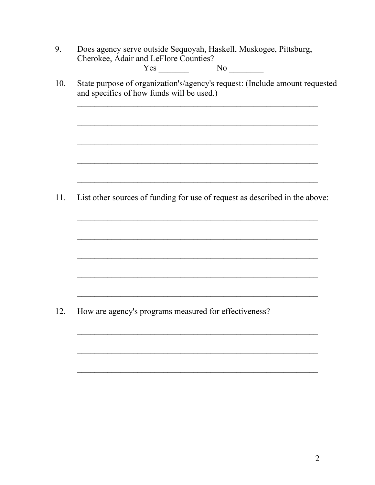|     | Does agency serve outside Sequoyah, Haskell, Muskogee, Pittsburg,<br>Cherokee, Adair and LeFlore Counties?               |  |  |  |  |  |
|-----|--------------------------------------------------------------------------------------------------------------------------|--|--|--|--|--|
|     | No                                                                                                                       |  |  |  |  |  |
| 10. | State purpose of organization's/agency's request: (Include amount requested<br>and specifics of how funds will be used.) |  |  |  |  |  |
|     |                                                                                                                          |  |  |  |  |  |
|     |                                                                                                                          |  |  |  |  |  |
| 11. | List other sources of funding for use of request as described in the above:                                              |  |  |  |  |  |
|     |                                                                                                                          |  |  |  |  |  |
|     |                                                                                                                          |  |  |  |  |  |
|     |                                                                                                                          |  |  |  |  |  |
| 12. | How are agency's programs measured for effectiveness?                                                                    |  |  |  |  |  |
|     |                                                                                                                          |  |  |  |  |  |